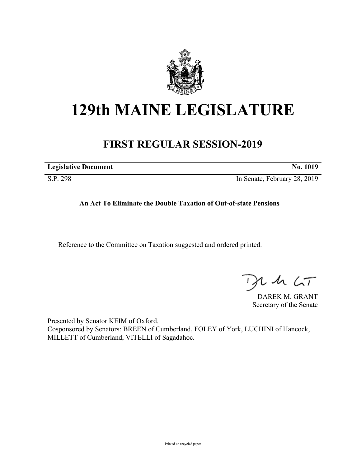

# **129th MAINE LEGISLATURE**

## **FIRST REGULAR SESSION-2019**

| <b>Legislative Document</b> | No. 1019 |
|-----------------------------|----------|
|                             |          |

S.P. 298 In Senate, February 28, 2019

### **An Act To Eliminate the Double Taxation of Out-of-state Pensions**

Reference to the Committee on Taxation suggested and ordered printed.

 $th$   $LT$ 

DAREK M. GRANT Secretary of the Senate

Presented by Senator KEIM of Oxford. Cosponsored by Senators: BREEN of Cumberland, FOLEY of York, LUCHINI of Hancock, MILLETT of Cumberland, VITELLI of Sagadahoc.